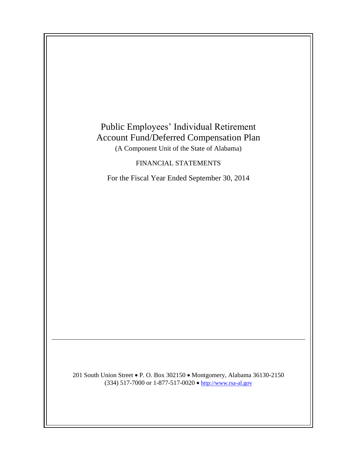

201 South Union Street • P. O. Box 302150 • Montgomery, Alabama 36130-2150 (334) 517-7000 or 1-877-517-0020  $\bullet$  [http://www.rsa-al.gov](http://www.rsa.state.al.us/)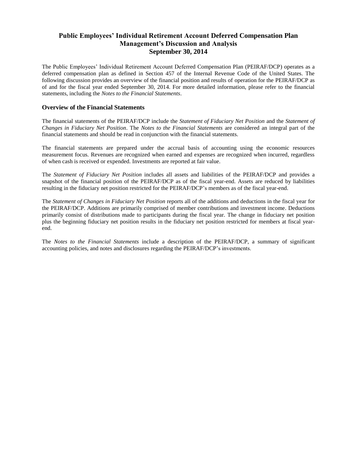### **Public Employees' Individual Retirement Account Deferred Compensation Plan Management's Discussion and Analysis September 30, 2014**

The Public Employees' Individual Retirement Account Deferred Compensation Plan (PEIRAF/DCP) operates as a deferred compensation plan as defined in Section 457 of the Internal Revenue Code of the United States. The following discussion provides an overview of the financial position and results of operation for the PEIRAF/DCP as of and for the fiscal year ended September 30, 2014. For more detailed information, please refer to the financial statements, including the *Notes to the Financial Statements*.

### **Overview of the Financial Statements**

The financial statements of the PEIRAF/DCP include the *Statement of Fiduciary Net Position* and the *Statement of Changes in Fiduciary Net Position*. The *Notes to the Financial Statements* are considered an integral part of the financial statements and should be read in conjunction with the financial statements.

The financial statements are prepared under the accrual basis of accounting using the economic resources measurement focus. Revenues are recognized when earned and expenses are recognized when incurred, regardless of when cash is received or expended. Investments are reported at fair value.

The *Statement of Fiduciary Net Position* includes all assets and liabilities of the PEIRAF/DCP and provides a snapshot of the financial position of the PEIRAF/DCP as of the fiscal year-end. Assets are reduced by liabilities resulting in the fiduciary net position restricted for the PEIRAF/DCP's members as of the fiscal year-end.

The *Statement of Changes in Fiduciary Net Position* reports all of the additions and deductions in the fiscal year for the PEIRAF/DCP. Additions are primarily comprised of member contributions and investment income. Deductions primarily consist of distributions made to participants during the fiscal year. The change in fiduciary net position plus the beginning fiduciary net position results in the fiduciary net position restricted for members at fiscal yearend.

The *Notes to the Financial Statements* include a description of the PEIRAF/DCP, a summary of significant accounting policies, and notes and disclosures regarding the PEIRAF/DCP's investments.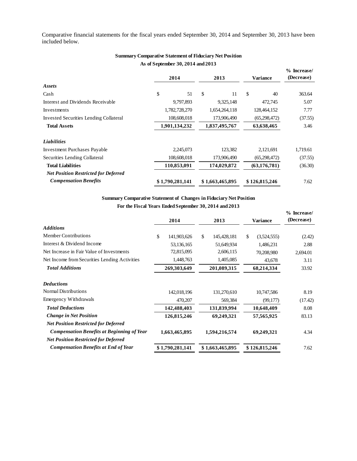Comparative financial statements for the fiscal years ended September 30, 2014 and September 30, 2013 have been included below.

|                                               | As of September 30, 2014 and 2013 |    |                 |                 |                             |
|-----------------------------------------------|-----------------------------------|----|-----------------|-----------------|-----------------------------|
|                                               | 2014                              |    | 2013            | <b>Variance</b> | $%$ Increase/<br>(Decrease) |
| Assets                                        |                                   |    |                 |                 |                             |
| Cash                                          | \$                                | 51 | \$<br>11        | \$<br>40        | 363.64                      |
| Interest and Dividends Receivable             | 9,797,893                         |    | 9,325,148       | 472,745         | 5.07                        |
| Investments                                   | 1,782,728,270                     |    | 1,654,264,118   | 128,464,152     | 7.77                        |
| <b>Invested Securities Lending Collateral</b> | 108,608,018                       |    | 173,906,490     | (65, 298, 472)  | (37.55)                     |
| <b>Total Assets</b>                           | 1,901,134,232                     |    | 1,837,495,767   | 63,638,465      | 3.46                        |
| <b>Liabilities</b>                            |                                   |    |                 |                 |                             |
| <b>Investment Purchases Payable</b>           | 2,245,073                         |    | 123,382         | 2,121,691       | 1,719.61                    |
| Securities Lending Collateral                 | 108,608,018                       |    | 173,906,490     | (65, 298, 472)  | (37.55)                     |
| <b>Total Liabilities</b>                      | 110,853,091                       |    | 174,029,872     | (63, 176, 781)  | (36.30)                     |
| <b>Net Position Restricted for Deferred</b>   |                                   |    |                 |                 |                             |
| <b>Compensation Benefits</b>                  | \$1,790,281,141                   |    | \$1,663,465,895 | \$126,815,246   | 7.62                        |

### **As of September 30, 2014 and 2013 Summary Comparative Statement of Fiduciary Net Position**

### **Summary Comparative Statement of Changes in Fiduciary Net Position**

| <b>Summary Comparative Statement of Changes in Fiduciary Net Position</b> |                   |                   |                   |                             |
|---------------------------------------------------------------------------|-------------------|-------------------|-------------------|-----------------------------|
| For the Fiscal Years Ended September 30, 2014 and 2013                    |                   |                   |                   |                             |
|                                                                           | 2014              | 2013              | <b>Variance</b>   | $%$ Increase/<br>(Decrease) |
| <b>Additions</b>                                                          |                   |                   |                   |                             |
| <b>Member Contributions</b>                                               | \$<br>141,903,626 | \$<br>145,428,181 | \$<br>(3,524,555) | (2.42)                      |
| Interest & Dividend Income                                                | 53,136,165        | 51,649,934        | 1,486,231         | 2.88                        |
| Net Increase in Fair Value of Investments                                 | 72,815,095        | 2,606,115         | 70,208,980        | 2,694.01                    |
| Net Income from Securities Lending Activities                             | 1,448,763         | 1,405,085         | 43,678            | 3.11                        |
| <b>Total Additions</b>                                                    | 269,303,649       | 201,089,315       | 68,214,334        | 33.92                       |
| <b>Deductions</b>                                                         |                   |                   |                   |                             |
| <b>Normal Distributions</b>                                               | 142,018,196       | 131,270,610       | 10,747,586        | 8.19                        |
| <b>Emergency Withdrawals</b>                                              | 470,207           | 569,384           | (99,177)          | (17.42)                     |
| <b>Total Deductions</b>                                                   | 142,488,403       | 131,839,994       | 10,648,409        | 8.08                        |
| <b>Change in Net Position</b>                                             | 126,815,246       | 69,249,321        | 57,565,925        | 83.13                       |
| <b>Net Position Restricted for Deferred</b>                               |                   |                   |                   |                             |
| <b>Compensation Benefits at Beginning of Year</b>                         | 1,663,465,895     | 1,594,216,574     | 69,249,321        | 4.34                        |
| <b>Net Position Restricted for Deferred</b>                               |                   |                   |                   |                             |
| <b>Compensation Benefits at End of Year</b>                               | \$1,790,281,141   | \$1,663,465,895   | \$126,815,246     | 7.62                        |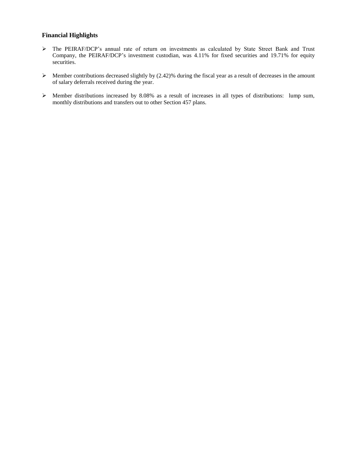### **Financial Highlights**

- > The PEIRAF/DCP's annual rate of return on investments as calculated by State Street Bank and Trust Company, the PEIRAF/DCP's investment custodian, was 4.11% for fixed securities and 19.71% for equity securities.
- $\triangleright$  Member contributions decreased slightly by (2.42)% during the fiscal year as a result of decreases in the amount of salary deferrals received during the year.
- Member distributions increased by 8.08% as a result of increases in all types of distributions: lump sum, monthly distributions and transfers out to other Section 457 plans.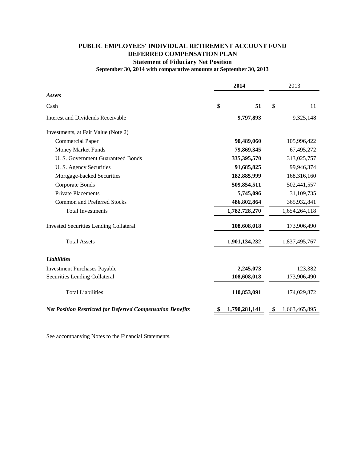## **PUBLIC EMPLOYEES' INDIVIDUAL RETIREMENT ACCOUNT FUND DEFERRED COMPENSATION PLAN Statement of Fiduciary Net Position**

# **September 30, 2014 with comparative amounts at September 30, 2013**

|                                                                   | 2014                |            | 2013 |               |
|-------------------------------------------------------------------|---------------------|------------|------|---------------|
| <b>Assets</b>                                                     |                     |            |      |               |
| Cash                                                              | \$                  | 51         | \$   | 11            |
| Interest and Dividends Receivable                                 |                     | 9,797,893  |      | 9,325,148     |
| Investments, at Fair Value (Note 2)                               |                     |            |      |               |
| <b>Commercial Paper</b>                                           |                     | 90,489,060 |      | 105,996,422   |
| <b>Money Market Funds</b>                                         |                     | 79,869,345 |      | 67,495,272    |
| U. S. Government Guaranteed Bonds                                 | 335,395,570         |            |      | 313,025,757   |
| U. S. Agency Securities                                           |                     | 91,685,825 |      | 99,946,374    |
| Mortgage-backed Securities                                        | 182,885,999         |            |      | 168,316,160   |
| Corporate Bonds                                                   | 509,854,511         |            |      | 502,441,557   |
| <b>Private Placements</b>                                         |                     | 5,745,096  |      | 31,109,735    |
| <b>Common and Preferred Stocks</b>                                | 486,802,864         |            |      | 365,932,841   |
| <b>Total Investments</b>                                          | 1,782,728,270       |            |      | 1,654,264,118 |
| <b>Invested Securities Lending Collateral</b>                     | 108,608,018         |            |      | 173,906,490   |
| <b>Total Assets</b>                                               | 1,901,134,232       |            |      | 1,837,495,767 |
| <b>Liabilities</b>                                                |                     |            |      |               |
| <b>Investment Purchases Payable</b>                               |                     | 2,245,073  |      | 123,382       |
| Securities Lending Collateral                                     | 108,608,018         |            |      | 173,906,490   |
| <b>Total Liabilities</b>                                          | 110,853,091         |            |      | 174,029,872   |
| <b>Net Position Restricted for Deferred Compensation Benefits</b> | 1,790,281,141<br>\$ |            | \$   | 1,663,465,895 |

See accompanying Notes to the Financial Statements.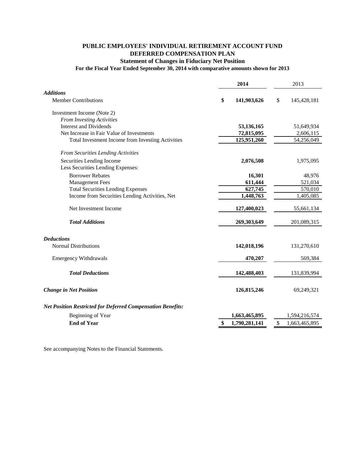### **PUBLIC EMPLOYEES' INDIVIDUAL RETIREMENT ACCOUNT FUND DEFERRED COMPENSATION PLAN Statement of Changes in Fiduciary Net Position**

### **For the Fiscal Year Ended September 30, 2014 with comparative amounts shown for 2013**

|                                                                    | 2014              | 2013                |
|--------------------------------------------------------------------|-------------------|---------------------|
| <b>Additions</b>                                                   |                   |                     |
| <b>Member Contributions</b>                                        | \$<br>141,903,626 | \$<br>145,428,181   |
| Investment Income (Note 2)                                         |                   |                     |
| <b>From Investing Activities</b>                                   |                   |                     |
| <b>Interest and Dividends</b>                                      | 53,136,165        | 51,649,934          |
| Net Increase in Fair Value of Investments                          | 72,815,095        | 2,606,115           |
| Total Investment Income from Investing Activities                  | 125,951,260       | 54,256,049          |
| From Securities Lending Activities                                 |                   |                     |
| Securities Lending Income                                          | 2,076,508         | 1,975,095           |
| Less Securities Lending Expenses:                                  |                   |                     |
| <b>Borrower Rebates</b>                                            | 16,301            | 48,976              |
| <b>Management Fees</b>                                             | 611,444           | 521,034             |
| <b>Total Securities Lending Expenses</b>                           | 627,745           | 570,010             |
| Income from Securities Lending Activities, Net                     | 1,448,763         | 1,405,085           |
| Net Investment Income                                              | 127,400,023       | 55,661,134          |
| <b>Total Additions</b>                                             | 269,303,649       | 201,089,315         |
| <b>Deductions</b>                                                  |                   |                     |
| <b>Normal Distributions</b>                                        | 142,018,196       | 131,270,610         |
| <b>Emergency Withdrawals</b>                                       | 470,207           | 569,384             |
| <b>Total Deductions</b>                                            | 142,488,403       | 131,839,994         |
|                                                                    |                   |                     |
| <b>Change in Net Position</b>                                      | 126,815,246       | 69,249,321          |
| <b>Net Position Restricted for Deferred Compensation Benefits:</b> |                   |                     |
| Beginning of Year                                                  | 1,663,465,895     | 1,594,216,574       |
| <b>End of Year</b>                                                 | 1,790,281,141     | \$<br>1,663,465,895 |
|                                                                    |                   |                     |

See accompanying Notes to the Financial Statements.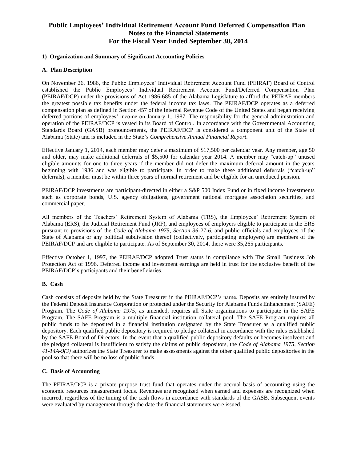#### **1) Organization and Summary of Significant Accounting Policies**

#### **A. Plan Description**

On November 26, 1986, the Public Employees' Individual Retirement Account Fund (PEIRAF) Board of Control established the Public Employees' Individual Retirement Account Fund/Deferred Compensation Plan (PEIRAF/DCP) under the provisions of Act 1986-685 of the Alabama Legislature to afford the PEIRAF members the greatest possible tax benefits under the federal income tax laws. The PEIRAF/DCP operates as a deferred compensation plan as defined in Section 457 of the Internal Revenue Code of the United States and began receiving deferred portions of employees' income on January 1, 1987. The responsibility for the general administration and operation of the PEIRAF/DCP is vested in its Board of Control. In accordance with the Governmental Accounting Standards Board (GASB) pronouncements, the PEIRAF/DCP is considered a component unit of the State of Alabama (State) and is included in the State's *Comprehensive Annual Financial Report*.

Effective January 1, 2014, each member may defer a maximum of \$17,500 per calendar year. Any member, age 50 and older, may make additional deferrals of \$5,500 for calendar year 2014. A member may "catch-up" unused eligible amounts for one to three years if the member did not defer the maximum deferral amount in the years beginning with 1986 and was eligible to participate. In order to make these additional deferrals ("catch-up" deferrals), a member must be within three years of normal retirement and be eligible for an unreduced pension.

PEIRAF/DCP investments are participant-directed in either a S&P 500 Index Fund or in fixed income investments such as corporate bonds, U.S. agency obligations, government national mortgage association securities, and commercial paper.

All members of the Teachers' Retirement System of Alabama (TRS), the Employees' Retirement System of Alabama (ERS), the Judicial Retirement Fund (JRF), and employees of employers eligible to participate in the ERS pursuant to provisions of the *Code of Alabama 1975, Section 36-27-6*, and public officials and employees of the State of Alabama or any political subdivision thereof (collectively, participating employers) are members of the PEIRAF/DCP and are eligible to participate. As of September 30, 2014, there were 35,265 participants.

Effective October 1, 1997, the PEIRAF/DCP adopted Trust status in compliance with The Small Business Job Protection Act of 1996. Deferred income and investment earnings are held in trust for the exclusive benefit of the PEIRAF/DCP's participants and their beneficiaries.

#### **B. Cash**

Cash consists of deposits held by the State Treasurer in the PEIRAF/DCP's name. Deposits are entirely insured by the Federal Deposit Insurance Corporation or protected under the Security for Alabama Funds Enhancement (SAFE) Program. The *Code of Alabama 1975,* as amended, requires all State organizations to participate in the SAFE Program. The SAFE Program is a multiple financial institution collateral pool. The SAFE Program requires all public funds to be deposited in a financial institution designated by the State Treasurer as a qualified public depository. Each qualified public depository is required to pledge collateral in accordance with the rules established by the SAFE Board of Directors. In the event that a qualified public depository defaults or becomes insolvent and the pledged collateral is insufficient to satisfy the claims of public depositors, the *Code of Alabama 1975, Section 41-14A-9(3)* authorizes the State Treasurer to make assessments against the other qualified public depositories in the pool so that there will be no loss of public funds.

#### **C. Basis of Accounting**

The PEIRAF/DCP is a private purpose trust fund that operates under the accrual basis of accounting using the economic resources measurement focus. Revenues are recognized when earned and expenses are recognized when incurred, regardless of the timing of the cash flows in accordance with standards of the GASB. Subsequent events were evaluated by management through the date the financial statements were issued.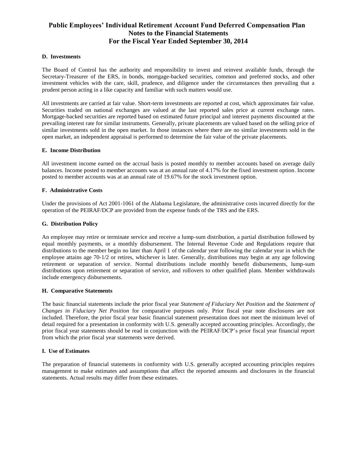#### **D. Investments**

The Board of Control has the authority and responsibility to invest and reinvest available funds, through the Secretary-Treasurer of the ERS, in bonds, mortgage-backed securities, common and preferred stocks, and other investment vehicles with the care, skill, prudence, and diligence under the circumstances then prevailing that a prudent person acting in a like capacity and familiar with such matters would use.

All investments are carried at fair value. Short-term investments are reported at cost, which approximates fair value. Securities traded on national exchanges are valued at the last reported sales price at current exchange rates. Mortgage-backed securities are reported based on estimated future principal and interest payments discounted at the prevailing interest rate for similar instruments. Generally, private placements are valued based on the selling price of similar investments sold in the open market. In those instances where there are no similar investments sold in the open market, an independent appraisal is performed to determine the fair value of the private placements.

#### **E. Income Distribution**

All investment income earned on the accrual basis is posted monthly to member accounts based on average daily balances. Income posted to member accounts was at an annual rate of 4.17% for the fixed investment option. Income posted to member accounts was at an annual rate of 19.67% for the stock investment option.

#### **F. Administrative Costs**

Under the provisions of Act 2001-1061 of the Alabama Legislature, the administrative costs incurred directly for the operation of the PEIRAF/DCP are provided from the expense funds of the TRS and the ERS.

#### **G. Distribution Policy**

An employee may retire or terminate service and receive a lump-sum distribution, a partial distribution followed by equal monthly payments, or a monthly disbursement. The Internal Revenue Code and Regulations require that distributions to the member begin no later than April 1 of the calendar year following the calendar year in which the employee attains age 70-1/2 or retires, whichever is later. Generally, distributions may begin at any age following retirement or separation of service. Normal distributions include monthly benefit disbursements, lump-sum distributions upon retirement or separation of service, and rollovers to other qualified plans. Member withdrawals include emergency disbursements.

#### **H. Comparative Statements**

The basic financial statements include the prior fiscal year *Statement of Fiduciary Net Position* and the *Statement of Changes in Fiduciary Net Position* for comparative purposes only. Prior fiscal year note disclosures are not included. Therefore, the prior fiscal year basic financial statement presentation does not meet the minimum level of detail required for a presentation in conformity with U.S. generally accepted accounting principles. Accordingly, the prior fiscal year statements should be read in conjunction with the PEIRAF/DCP's prior fiscal year financial report from which the prior fiscal year statements were derived.

#### **I. Use of Estimates**

The preparation of financial statements in conformity with U.S. generally accepted accounting principles requires management to make estimates and assumptions that affect the reported amounts and disclosures in the financial statements. Actual results may differ from these estimates.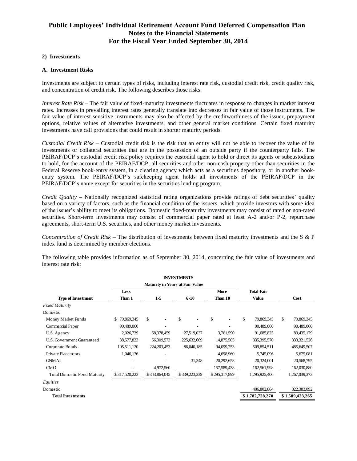#### **2) Investments**

#### **A. Investment Risks**

Investments are subject to certain types of risks, including interest rate risk, custodial credit risk, credit quality risk, and concentration of credit risk. The following describes those risks:

*Interest Rate Risk* – The fair value of fixed-maturity investments fluctuates in response to changes in market interest rates. Increases in prevailing interest rates generally translate into decreases in fair value of those instruments. The fair value of interest sensitive instruments may also be affected by the creditworthiness of the issuer, prepayment options, relative values of alternative investments, and other general market conditions. Certain fixed maturity investments have call provisions that could result in shorter maturity periods.

*Custodial Credit Risk* – Custodial credit risk is the risk that an entity will not be able to recover the value of its investments or collateral securities that are in the possession of an outside party if the counterparty fails. The PEIRAF/DCP's custodial credit risk policy requires the custodial agent to hold or direct its agents or subcustodians to hold, for the account of the PEIRAF/DCP, all securities and other non-cash property other than securities in the Federal Reserve book-entry system, in a clearing agency which acts as a securities depository, or in another bookentry system. The PEIRAF/DCP's safekeeping agent holds all investments of the PEIRAF/DCP in the PEIRAF/DCP's name except for securities in the securities lending program.

*Credit Quality* – Nationally recognized statistical rating organizations provide ratings of debt securities' quality based on a variety of factors, such as the financial condition of the issuers, which provide investors with some idea of the issuer's ability to meet its obligations. Domestic fixed-maturity investments may consist of rated or non-rated securities. Short-term investments may consist of commercial paper rated at least A-2 and/or P-2, repurchase agreements, short-term U.S. securities, and other money market investments.

*Concentration of Credit Risk* – The distribution of investments between fixed maturity investments and the S & P index fund is determined by member elections.

The following table provides information as of September 30, 2014, concerning the fair value of investments and interest rate risk:

|                                      |                  |                                        | <b>INVESTMENTS</b> |               |                   |                  |
|--------------------------------------|------------------|----------------------------------------|--------------------|---------------|-------------------|------------------|
|                                      |                  | <b>Maturity in Years at Fair Value</b> |                    |               |                   |                  |
|                                      | <b>Less</b>      |                                        |                    | More          | <b>Total Fair</b> |                  |
| <b>Type of Investment</b>            | Than 1           | $1-5$                                  | $6 - 10$           | Than 10       | Value             | Cost             |
| <b>Fixed Maturity</b>                |                  |                                        |                    |               |                   |                  |
| Domestic                             |                  |                                        |                    |               |                   |                  |
| Money Market Funds                   | 79,869,345<br>\$ | S                                      | \$                 | \$            | \$<br>79,869,345  | \$<br>79,869,345 |
| Commercial Paper                     | 90,489,060       |                                        |                    |               | 90,489,060        | 90,489,060       |
| U.S. Agency                          | 2,026,739        | 58,378,459                             | 27,519,037         | 3,761,590     | 91,685,825        | 89,435,179       |
| U.S. Government Guaranteed           | 38,577,823       | 56,309,573                             | 225,632,669        | 14,875,505    | 335,395,570       | 333, 321, 526    |
| Corporate Bonds                      | 105,511,120      | 224, 203, 453                          | 86,040,185         | 94,099,753    | 509,854,511       | 485,649,507      |
| <b>Private Placements</b>            | 1,046,136        |                                        |                    | 4,698,960     | 5,745,096         | 5,675,081        |
| <b>GNMAs</b>                         |                  |                                        | 31,348             | 20,292,653    | 20,324,001        | 20,568,795       |
| <b>CMO</b>                           |                  | 4,972,560                              |                    | 157,589,438   | 162,561,998       | 162,030,880      |
| <b>Total Domestic Fixed Maturity</b> | \$317,520,223    | \$343,864,045                          | \$339,223,239      | \$295,317,899 | 1,295,925,406     | 1,267,039,373    |
| Equities                             |                  |                                        |                    |               |                   |                  |
| Domestic                             |                  |                                        |                    |               | 486,802,864       | 322,383,892      |
| <b>Total Investments</b>             |                  |                                        |                    |               | \$1,782,728,270   | \$1,589,423,265  |
|                                      |                  |                                        |                    |               |                   |                  |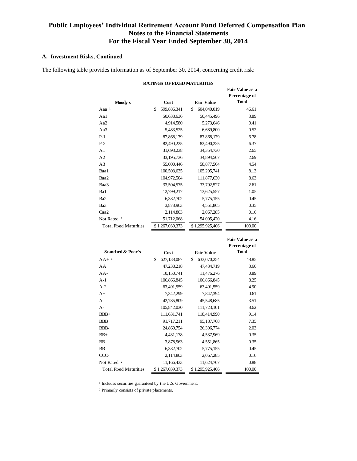#### **A. Investment Risks, Continued**

The following table provides information as of September 30, 2014, concerning credit risk:

| Moody's                       | Cost              | <b>Fair Value</b> | <b>Fair Value as a</b><br>Percentage of<br><b>Total</b> |
|-------------------------------|-------------------|-------------------|---------------------------------------------------------|
| Aaa <sup>1</sup>              | \$<br>599,886,341 | \$<br>604,040,019 | 46.61                                                   |
| Aal                           | 50,638,636        | 50,445,496        | 3.89                                                    |
| Aa2                           | 4,914,580         | 5,273,646         | 0.41                                                    |
| Aa3                           | 5,483,525         | 6,689,800         | 0.52                                                    |
| $P-1$                         | 87,868,179        | 87,868,179        | 6.78                                                    |
| $P-2$                         | 82,490,225        | 82,490,225        | 6.37                                                    |
| A <sub>1</sub>                | 31,693,238        | 34,354,730        | 2.65                                                    |
| A <sub>2</sub>                | 33,195,736        | 34,894,567        | 2.69                                                    |
| A <sub>3</sub>                | 55,000,446        | 58,877,564        | 4.54                                                    |
| Baa1                          | 100,503,635       | 105,295,741       | 8.13                                                    |
| Baa2                          | 104,972,504       | 111,877,630       | 8.63                                                    |
| Baa3                          | 33,504,575        | 33,792,527        | 2.61                                                    |
| Ba1                           | 12,799,217        | 13,625,557        | 1.05                                                    |
| Ba <sub>2</sub>               | 6,382,702         | 5,775,155         | 0.45                                                    |
| Ba3                           | 3,878,963         | 4,551,865         | 0.35                                                    |
| Caa2                          | 2,114,803         | 2,067,285         | 0.16                                                    |
| Not Rated <sup>2</sup>        | 51,712,068        | 54,005,420        | 4.16                                                    |
| <b>Total Fixed Maturities</b> | \$1,267,039,373   | \$1,295,925,406   | 100.00                                                  |

#### **RATINGS OF FIXED MATURITIES**

|                               |                   |                   | Fair Value as a<br>Percentage of |
|-------------------------------|-------------------|-------------------|----------------------------------|
| <b>Standard &amp; Poor's</b>  | Cost              | <b>Fair Value</b> | <b>Total</b>                     |
| $AA + 1$                      | \$<br>627,138,087 | \$<br>633,070,254 | 48.85                            |
| AA                            | 47,238,218        | 47,434,719        | 3.66                             |
| $AA-$                         | 10,150,741        | 11,476,276        | 0.89                             |
| $A-1$                         | 106,866,845       | 106,866,845       | 8.25                             |
| $A-2$                         | 63,491,559        | 63,491,559        | 4.90                             |
| $A+$                          | 7,342,299         | 7,847,394         | 0.61                             |
| A                             | 42,785,809        | 45,548,685        | 3.51                             |
| $A -$                         | 105,842,030       | 111,723,101       | 8.62                             |
| $BBB+$                        | 111,631,741       | 118,414,990       | 9.14                             |
| <b>BBB</b>                    | 91,717,211        | 95,187,768        | 7.35                             |
| BBB-                          | 24,860,754        | 26,306,774        | 2.03                             |
| $BB+$                         | 4,431,178         | 4,537,969         | 0.35                             |
| BB                            | 3,878,963         | 4,551,865         | 0.35                             |
| BB-                           | 6,382,702         | 5,775,155         | 0.45                             |
| CCC-                          | 2,114,803         | 2,067,285         | 0.16                             |
| Not Rated <sup>2</sup>        | 11,166,433        | 11,624,767        | 0.88                             |
| <b>Total Fixed Maturities</b> | \$1,267,039,373   | \$1,295,925,406   | 100.00                           |

 $^{\rm 1}$  Includes securities guaranteed by the U.S. Government.

² Primarily consists of private placements.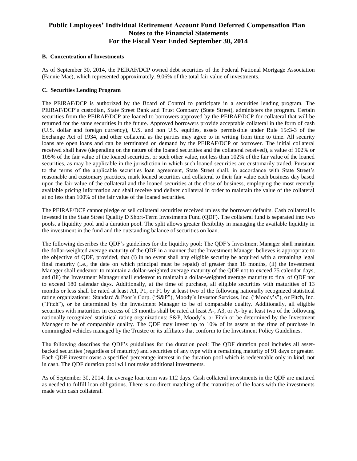#### **B. Concentration of Investments**

As of September 30, 2014, the PEIRAF/DCP owned debt securities of the Federal National Mortgage Association (Fannie Mae), which represented approximately, 9.06% of the total fair value of investments.

#### **C. Securities Lending Program**

The PEIRAF/DCP is authorized by the Board of Control to participate in a securities lending program. The PEIRAF/DCP's custodian, State Street Bank and Trust Company (State Street), administers the program. Certain securities from the PEIRAF/DCP are loaned to borrowers approved by the PEIRAF/DCP for collateral that will be returned for the same securities in the future. Approved borrowers provide acceptable collateral in the form of cash (U.S. dollar and foreign currency), U.S. and non U.S. equities, assets permissible under Rule 15c3-3 of the Exchange Act of 1934, and other collateral as the parties may agree to in writing from time to time. All security loans are open loans and can be terminated on demand by the PEIRAF/DCP or borrower. The initial collateral received shall have (depending on the nature of the loaned securities and the collateral received), a value of 102% or 105% of the fair value of the loaned securities, or such other value, not less than 102% of the fair value of the loaned securities, as may be applicable in the jurisdiction in which such loaned securities are customarily traded. Pursuant to the terms of the applicable securities loan agreement, State Street shall, in accordance with State Street's reasonable and customary practices, mark loaned securities and collateral to their fair value each business day based upon the fair value of the collateral and the loaned securities at the close of business, employing the most recently available pricing information and shall receive and deliver collateral in order to maintain the value of the collateral at no less than 100% of the fair value of the loaned securities.

The PEIRAF/DCP cannot pledge or sell collateral securities received unless the borrower defaults. Cash collateral is invested in the State Street Quality D Short-Term Investments Fund (QDF). The collateral fund is separated into two pools, a liquidity pool and a duration pool. The split allows greater flexibility in managing the available liquidity in the investment in the fund and the outstanding balance of securities on loan.

The following describes the QDF's guidelines for the liquidity pool: The QDF's Investment Manager shall maintain the dollar-weighted average maturity of the QDF in a manner that the Investment Manager believes is appropriate to the objective of QDF, provided, that (i) in no event shall any eligible security be acquired with a remaining legal final maturity (i.e., the date on which principal must be repaid) of greater than 18 months, (ii) the Investment Manager shall endeavor to maintain a dollar-weighted average maturity of the QDF not to exceed 75 calendar days, and (iii) the Investment Manager shall endeavor to maintain a dollar-weighted average maturity to final of QDF not to exceed 180 calendar days. Additionally, at the time of purchase, all eligible securities with maturities of 13 months or less shall be rated at least A1, P1, or F1 by at least two of the following nationally recognized statistical rating organizations: Standard & Poor's Corp. ("S&P"), Moody's Investor Services, Inc. ("Moody's"), or Fitch, Inc. ("Fitch"), or be determined by the Investment Manager to be of comparable quality. Additionally, all eligible securities with maturities in excess of 13 months shall be rated at least A-, A3, or A- by at least two of the following nationally recognized statistical rating organizations: S&P, Moody's, or Fitch or be determined by the Investment Manager to be of comparable quality. The QDF may invest up to 10% of its assets at the time of purchase in commingled vehicles managed by the Trustee or its affiliates that conform to the Investment Policy Guidelines.

The following describes the QDF's guidelines for the duration pool: The QDF duration pool includes all assetbacked securities (regardless of maturity) and securities of any type with a remaining maturity of 91 days or greater. Each QDF investor owns a specified percentage interest in the duration pool which is redeemable only in kind, not in cash. The QDF duration pool will not make additional investments.

As of September 30, 2014, the average loan term was 112 days. Cash collateral investments in the QDF are matured as needed to fulfill loan obligations. There is no direct matching of the maturities of the loans with the investments made with cash collateral.